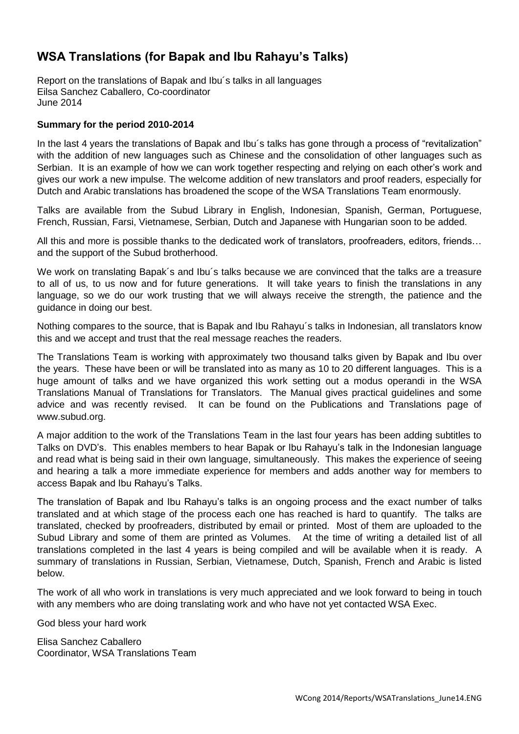# **WSA Translations (for Bapak and Ibu Rahayu's Talks)**

Report on the translations of Bapak and Ibu´s talks in all languages Eilsa Sanchez Caballero, Co-coordinator June 2014

# **Summary for the period 2010-2014**

In the last 4 years the translations of Bapak and Ibu´s talks has gone through a process of "revitalization" with the addition of new languages such as Chinese and the consolidation of other languages such as Serbian. It is an example of how we can work together respecting and relying on each other's work and gives our work a new impulse. The welcome addition of new translators and proof readers, especially for Dutch and Arabic translations has broadened the scope of the WSA Translations Team enormously.

Talks are available from the Subud Library in English, Indonesian, Spanish, German, Portuguese, French, Russian, Farsi, Vietnamese, Serbian, Dutch and Japanese with Hungarian soon to be added.

All this and more is possible thanks to the dedicated work of translators, proofreaders, editors, friends… and the support of the Subud brotherhood.

We work on translating Bapak´s and Ibu´s talks because we are convinced that the talks are a treasure to all of us, to us now and for future generations. It will take years to finish the translations in any language, so we do our work trusting that we will always receive the strength, the patience and the guidance in doing our best.

Nothing compares to the source, that is Bapak and Ibu Rahayu´s talks in Indonesian, all translators know this and we accept and trust that the real message reaches the readers.

The Translations Team is working with approximately two thousand talks given by Bapak and Ibu over the years. These have been or will be translated into as many as 10 to 20 different languages. This is a huge amount of talks and we have organized this work setting out a modus operandi in the WSA Translations Manual of Translations for Translators. The Manual gives practical guidelines and some advice and was recently revised. It can be found on the Publications and Translations page of www.subud.org.

A major addition to the work of the Translations Team in the last four years has been adding subtitles to Talks on DVD's. This enables members to hear Bapak or Ibu Rahayu's talk in the Indonesian language and read what is being said in their own language, simultaneously. This makes the experience of seeing and hearing a talk a more immediate experience for members and adds another way for members to access Bapak and Ibu Rahayu's Talks.

The translation of Bapak and Ibu Rahayu's talks is an ongoing process and the exact number of talks translated and at which stage of the process each one has reached is hard to quantify. The talks are translated, checked by proofreaders, distributed by email or printed. Most of them are uploaded to the Subud Library and some of them are printed as Volumes. At the time of writing a detailed list of all translations completed in the last 4 years is being compiled and will be available when it is ready. A summary of translations in Russian, Serbian, Vietnamese, Dutch, Spanish, French and Arabic is listed below.

The work of all who work in translations is very much appreciated and we look forward to being in touch with any members who are doing translating work and who have not yet contacted WSA Exec.

God bless your hard work

Elisa Sanchez Caballero Coordinator, WSA Translations Team